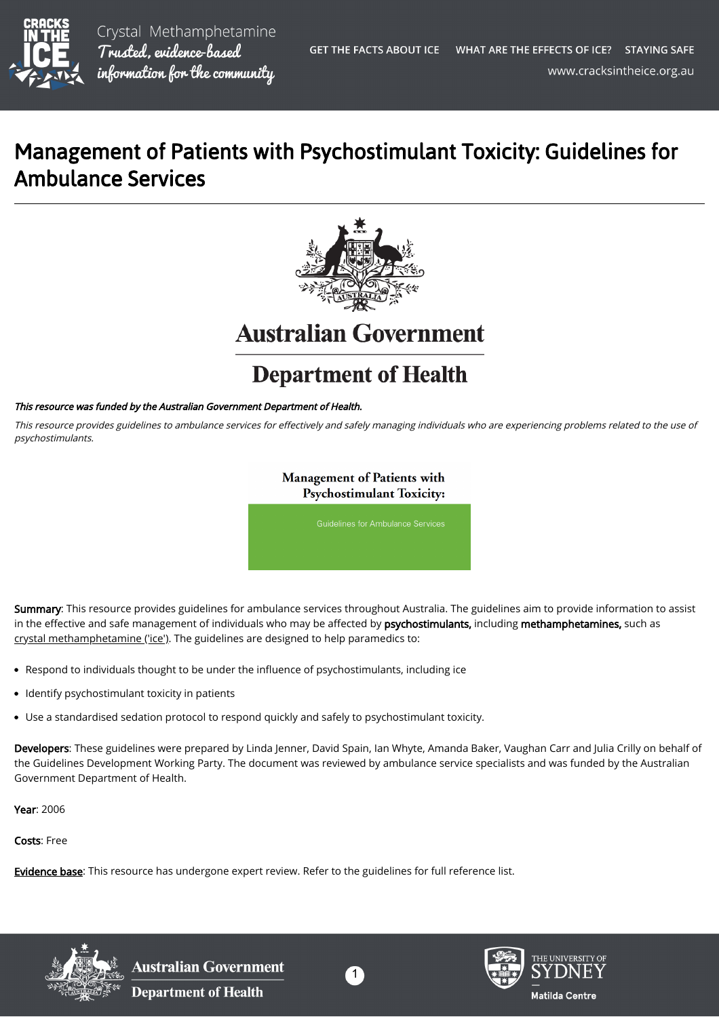

Crystal Methamphetamine Trusted, evidence-based information for the community

## Management of Patients with Psychostimulant Toxicity: Guidelines for Ambulance Services



**Australian Government** 

## **Department of Health**

## This resource was funded by the Australian Government Department of Health.

This resource provides guidelines to ambulance services for effectively and safely managing individuals who are experiencing problems related to the use of psychostimulants.

> **Management of Patients with Psychostimulant Toxicity:**

Summary: This resource provides guidelines for ambulance services throughout Australia. The guidelines aim to provide information to assist in the effective and safe management of individuals who may be affected by psychostimulants, including methamphetamines, such as [crystal methamphetamine \('ice'\).](https://cracksintheice.org.au/what-is-ice) The guidelines are designed to help paramedics to:

- Respond to individuals thought to be under the influence of psychostimulants, including ice
- Identify psychostimulant toxicity in patients  $\bullet$
- Use a standardised sedation protocol to respond quickly and safely to psychostimulant toxicity.

Developers: These guidelines were prepared by Linda Jenner, David Spain, Ian Whyte, Amanda Baker, Vaughan Carr and Julia Crilly on behalf of the Guidelines Development Working Party. The document was reviewed by ambulance service specialists and was funded by the Australian Government Department of Health.

Year: 2006

Costs: Free

[Evidence base:](https://cracksintheice.org.au/q-a) This resource has undergone expert review. Refer to the guidelines for full reference list.



**Australian Government Department of Health**